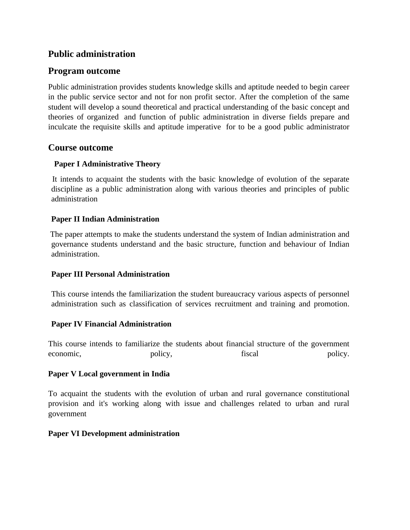### **Public administration**

#### **Program outcome**

Public administration provides students knowledge skills and aptitude needed to begin career in the public service sector and not for non profit sector. After the completion of the same student will develop a sound theoretical and practical understanding of the basic concept and theories of organized and function of public administration in diverse fields prepare and inculcate the requisite skills and aptitude imperative for to be a good public administrator

#### **Course outcome**

#### **Paper I Administrative Theory**

 It intends to acquaint the students with the basic knowledge of evolution of the separate discipline as a public administration along with various theories and principles of public administration

#### **Paper II Indian Administration**

The paper attempts to make the students understand the system of Indian administration and governance students understand and the basic structure, function and behaviour of Indian administration.

#### **Paper III Personal Administration**

This course intends the familiarization the student bureaucracy various aspects of personnel administration such as classification of services recruitment and training and promotion.

#### **Paper IV Financial Administration**

This course intends to familiarize the students about financial structure of the government economic, policy, policy, fiscal policy.

#### **Paper V Local government in India**

To acquaint the students with the evolution of urban and rural governance constitutional provision and it's working along with issue and challenges related to urban and rural government

#### **Paper VI Development administration**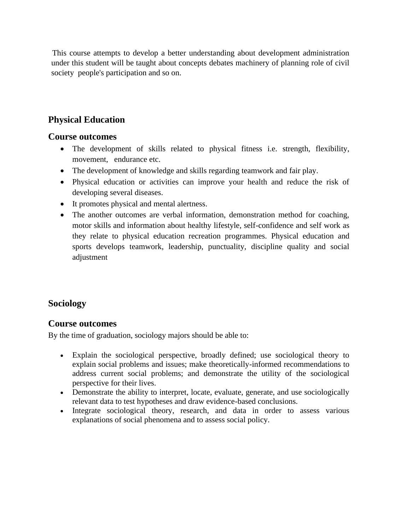This course attempts to develop a better understanding about development administration under this student will be taught about concepts debates machinery of planning role of civil society people's participation and so on.

## **Physical Education**

#### **Course outcomes**

- The development of skills related to physical fitness i.e. strength, flexibility, movement, endurance etc.
- The development of knowledge and skills regarding teamwork and fair play.
- Physical education or activities can improve your health and reduce the risk of developing several diseases.
- It promotes physical and mental alertness.
- The another outcomes are verbal information, demonstration method for coaching, motor skills and information about healthy lifestyle, self-confidence and self work as they relate to physical education recreation programmes. Physical education and sports develops teamwork, leadership, punctuality, discipline quality and social adjustment

## **Sociology**

## **Course outcomes**

By the time of graduation, sociology majors should be able to:

- Explain the sociological perspective, broadly defined; use sociological theory to explain social problems and issues; make theoretically-informed recommendations to address current social problems; and demonstrate the utility of the sociological perspective for their lives.
- Demonstrate the ability to interpret, locate, evaluate, generate, and use sociologically relevant data to test hypotheses and draw evidence-based conclusions.
- Integrate sociological theory, research, and data in order to assess various explanations of social phenomena and to assess social policy.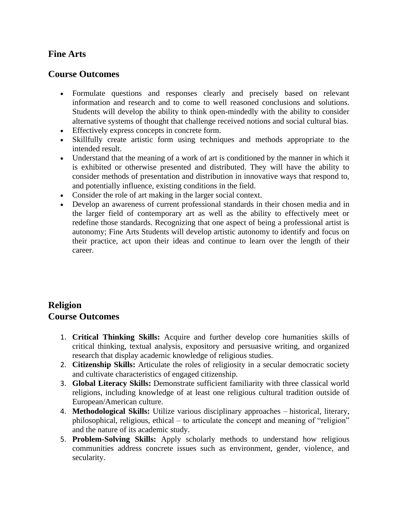### **Fine Arts**

#### **Course Outcomes**

- Formulate questions and responses clearly and precisely based on relevant information and research and to come to well reasoned conclusions and solutions. Students will develop the ability to think open-mindedly with the ability to consider alternative systems of thought that challenge received notions and social cultural bias.
- Effectively express concepts in concrete form.
- Skillfully create artistic form using techniques and methods appropriate to the intended result.
- Understand that the meaning of a work of art is conditioned by the manner in which it is exhibited or otherwise presented and distributed. They will have the ability to consider methods of presentation and distribution in innovative ways that respond to, and potentially influence, existing conditions in the field.
- Consider the role of art making in the larger social context.
- Develop an awareness of current professional standards in their chosen media and in the larger field of contemporary art as well as the ability to effectively meet or redefine those standards. Recognizing that one aspect of being a professional artist is autonomy; Fine Arts Students will develop artistic autonomy to identify and focus on their practice, act upon their ideas and continue to learn over the length of their career.

## **Religion Course Outcomes**

- 1. **Critical Thinking Skills:** Acquire and further develop core humanities skills of critical thinking, textual analysis, expository and persuasive writing, and organized research that display academic knowledge of religious studies.
- 2. **Citizenship Skills:** Articulate the roles of religiosity in a secular democratic society and cultivate characteristics of engaged citizenship.
- 3. **Global Literacy Skills:** Demonstrate sufficient familiarity with three classical world religions, including knowledge of at least one religious cultural tradition outside of European/American culture.
- 4. **Methodological Skills:** Utilize various disciplinary approaches historical, literary, philosophical, religious, ethical – to articulate the concept and meaning of "religion" and the nature of its academic study.
- 5. **Problem-Solving Skills:** Apply scholarly methods to understand how religious communities address concrete issues such as environment, gender, violence, and secularity.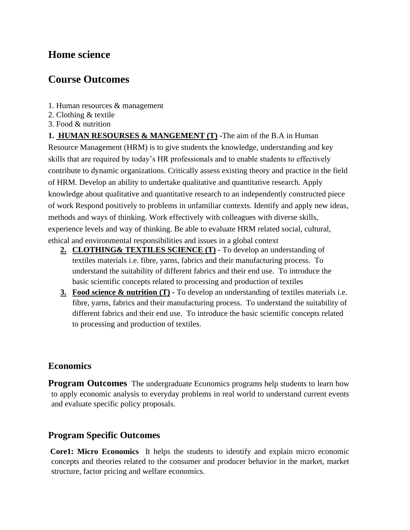# **Home science**

# **Course Outcomes**

- 1. Human resources & management
- 2. Clothing & textile
- 3. Food & nutrition

**1. HUMAN RESOURSES & MANGEMENT (T) -**The aim of the B.A in Human Resource Management (HRM) is to give students the knowledge, understanding and key skills that are required by today's HR professionals and to enable students to effectively contribute to dynamic organizations. Critically assess existing theory and practice in the field of HRM. Develop an ability to undertake qualitative and quantitative research. Apply knowledge about qualitative and quantitative research to an independently constructed piece of work Respond positively to problems in unfamiliar contexts. Identify and apply new ideas, methods and ways of thinking. Work effectively with colleagues with diverse skills, experience levels and way of thinking. Be able to evaluate HRM related social, cultural, ethical and environmental responsibilities and issues in a global context

- **2. CLOTHING& TEXTILES SCIENCE (T) -** To develop an understanding of textiles materials i.e. fibre, yarns, fabrics and their manufacturing process. To understand the suitability of different fabrics and their end use. To introduce the basic scientific concepts related to processing and production of textiles
- **3. Food science & nutrition (T) -** To develop an understanding of textiles materials i.e. fibre, yarns, fabrics and their manufacturing process. To understand the suitability of different fabrics and their end use. To introduce the basic scientific concepts related to processing and production of textiles.

## **Economics**

**Program Outcomes** The undergraduate Economics programs help students to learn how to apply economic analysis to everyday problems in real world to understand current events and evaluate specific policy proposals.

## **Program Specific Outcomes**

**Core1: Micro Economics** It helps the students to identify and explain micro economic concepts and theories related to the consumer and producer behavior in the market, market structure, factor pricing and welfare economics.